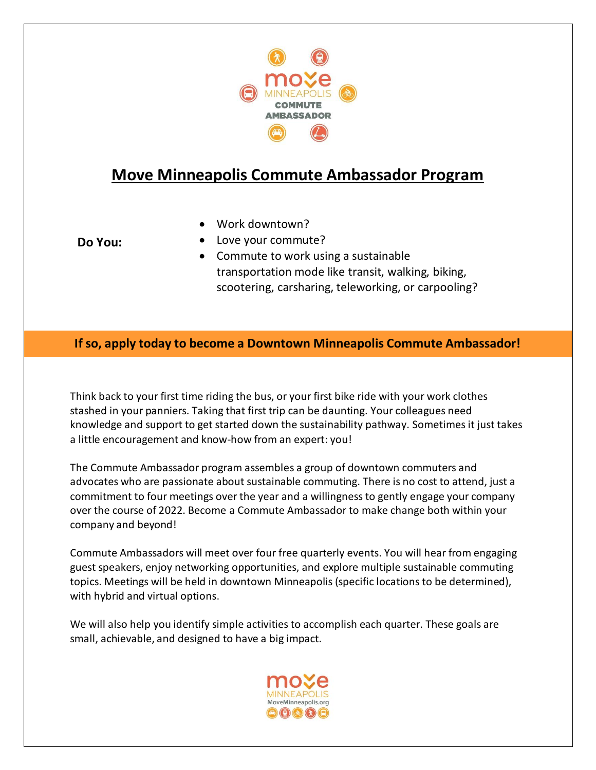

# **Move Minneapolis Commute Ambassador Program**

- Work downtown?
- **Do You:**
- Love your commute?
- Commute to work using a sustainable transportation mode like transit, walking, biking, scootering, carsharing, teleworking, or carpooling?

#### **If so, apply today to become a Downtown Minneapolis Commute Ambassador!**

Think back to your first time riding the bus, or your first bike ride with your work clothes stashed in your panniers. Taking that first trip can be daunting. Your colleagues need knowledge and support to get started down the sustainability pathway. Sometimes it just takes a little encouragement and know-how from an expert: you!

The Commute Ambassador program assembles a group of downtown commuters and advocates who are passionate about sustainable commuting. There is no cost to attend, just a commitment to four meetings over the year and a willingness to gently engage your company over the course of 2022. Become a Commute Ambassador to make change both within your company and beyond!

Commute Ambassadors will meet over four free quarterly events. You will hear from engaging guest speakers, enjoy networking opportunities, and explore multiple sustainable commuting topics. Meetings will be held in downtown Minneapolis (specific locations to be determined), with hybrid and virtual options.

We will also help you identify simple activities to accomplish each quarter. These goals are small, achievable, and designed to have a big impact.